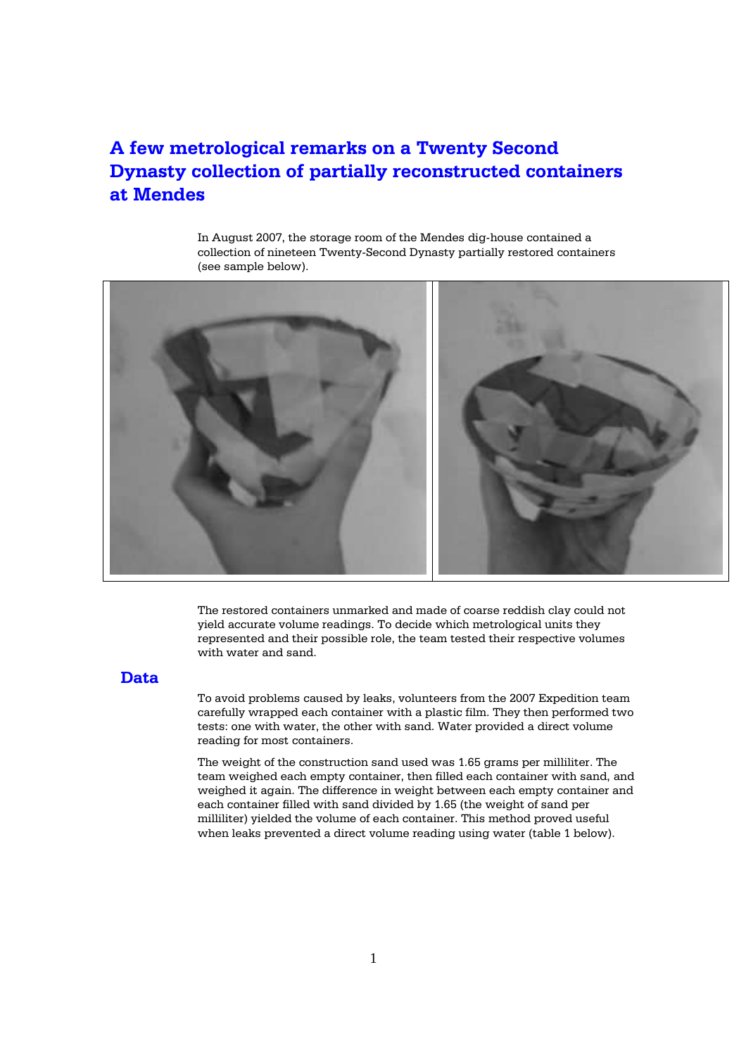# **A few metrological remarks on a Twenty Second Dynasty collection of partially reconstructed containers at Mendes**

In August 2007, the storage room of the Mendes dig-house contained a collection of nineteen Twenty-Second Dynasty partially restored containers (see sample below).



The restored containers unmarked and made of coarse reddish clay could not yield accurate volume readings. To decide which metrological units they represented and their possible role, the team tested their respective volumes with water and sand.

## **Data**

To avoid problems caused by leaks, volunteers from the 2007 Expedition team carefully wrapped each container with a plastic film. They then performed two tests: one with water, the other with sand. Water provided a direct volume reading for most containers.

The weight of the construction sand used was 1.65 grams per milliliter. The team weighed each empty container, then filled each container with sand, and weighed it again. The difference in weight between each empty container and each container filled with sand divided by 1.65 (the weight of sand per milliliter) yielded the volume of each container. This method proved useful when leaks prevented a direct volume reading using water (table 1 below).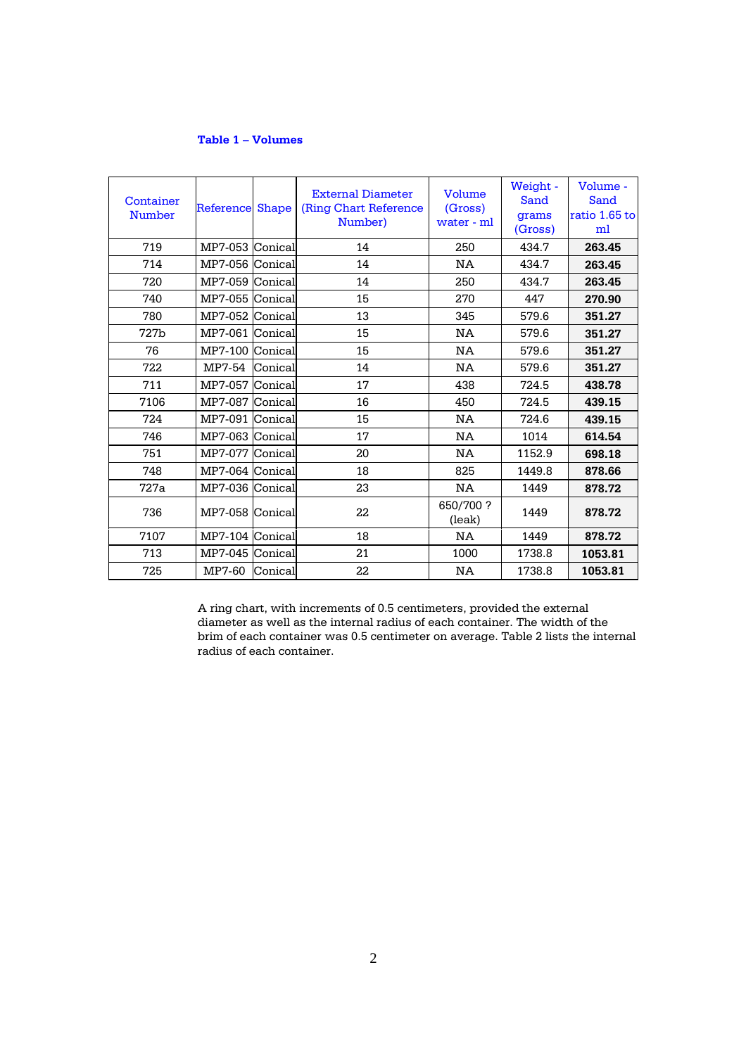## **Table 1 – Volumes**

| Container<br><b>Number</b> | Reference       | <b>Shape</b> | <b>External Diameter</b><br>(Ring Chart Reference)<br>Number) | Volume<br>(Gross)<br>water - ml | Weight -<br>Sand<br>grams<br>(Gross) | Volume -<br>Sand<br>ratio 1.65 to<br>ml |
|----------------------------|-----------------|--------------|---------------------------------------------------------------|---------------------------------|--------------------------------------|-----------------------------------------|
| 719                        | MP7-053 Conical |              | 14                                                            | 250                             | 434.7                                | 263.45                                  |
| 714                        | MP7-056 Conical |              | 14                                                            | NA                              | 434.7                                | 263.45                                  |
| 720                        | MP7-059 Conical |              | 14                                                            | 250                             | 434.7                                | 263.45                                  |
| 740                        | MP7-055 Conical |              | 15                                                            | 270                             | 447                                  | 270.90                                  |
| 780                        | MP7-052 Conical |              | 13                                                            | 345                             | 579.6                                | 351.27                                  |
| 727b                       | MP7-061 Conical |              | 15                                                            | NA                              | 579.6                                | 351.27                                  |
| 76                         | MP7-100 Conical |              | 15                                                            | NA                              | 579.6                                | 351.27                                  |
| 722                        | MP7-54          | Conical      | 14                                                            | NA                              | 579.6                                | 351.27                                  |
| 711                        | MP7-057         | Conical      | 17                                                            | 438                             | 724.5                                | 438.78                                  |
| 7106                       | MP7-087 Conical |              | 16                                                            | 450                             | 724.5                                | 439.15                                  |
| 724                        | MP7-091 Conical |              | 15                                                            | NA                              | 724.6                                | 439.15                                  |
| 746                        | MP7-063 Conical |              | 17                                                            | <b>NA</b>                       | 1014                                 | 614.54                                  |
| 751                        | MP7-077 Conical |              | 20                                                            | NA                              | 1152.9                               | 698.18                                  |
| 748                        | MP7-064 Conical |              | 18                                                            | 825                             | 1449.8                               | 878.66                                  |
| 727a                       | MP7-036 Conical |              | 23                                                            | <b>NA</b>                       | 1449                                 | 878.72                                  |
| 736                        | MP7-058 Conical |              | 22                                                            | 650/700?<br>(leak)              | 1449                                 | 878.72                                  |
| 7107                       | MP7-104 Conical |              | 18                                                            | <b>NA</b>                       | 1449                                 | 878.72                                  |
| 713                        | MP7-045 Conical |              | 21                                                            | 1000                            | 1738.8                               | 1053.81                                 |
| 725                        | MP7-60          | Conical      | 22                                                            | NA                              | 1738.8                               | 1053.81                                 |

A ring chart, with increments of 0.5 centimeters, provided the external diameter as well as the internal radius of each container. The width of the brim of each container was 0.5 centimeter on average. Table 2 lists the internal radius of each container.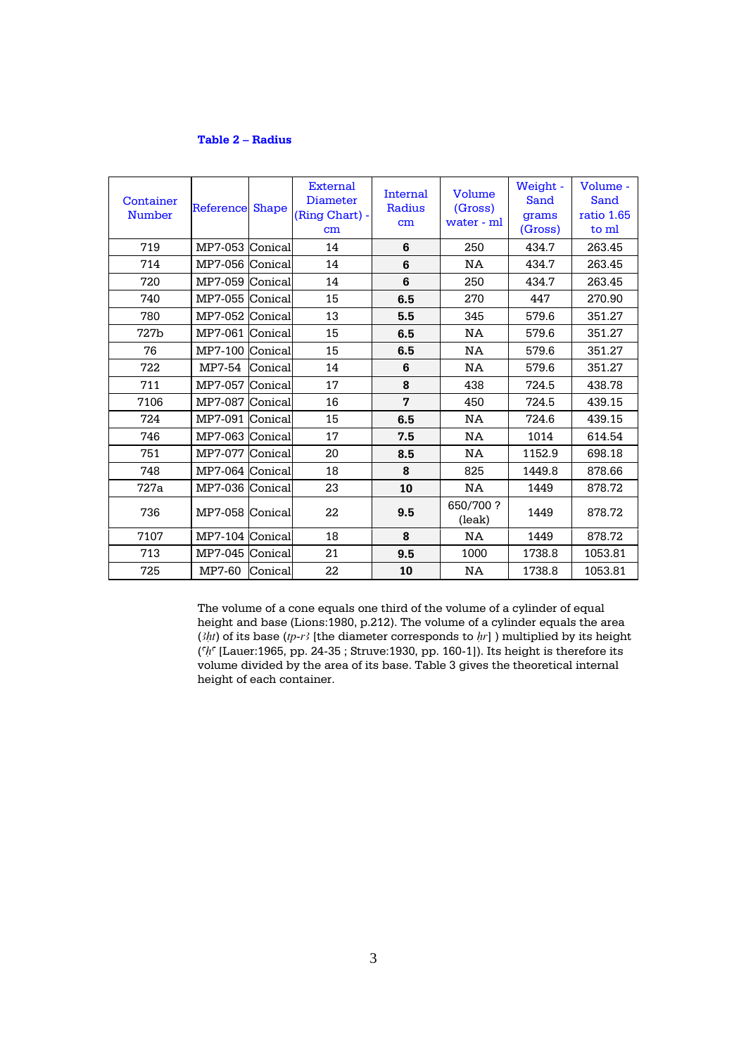## **Table 2 – Radius**

| Container<br><b>Number</b> | Reference       | <b>Shape</b> | External<br><b>Diameter</b><br>(Ring Chart) -<br>cm | Internal<br>Radius<br>cm | Volume<br>(Gross)<br>water - ml | Weight -<br>Sand<br>grams<br>(Gross) | Volume -<br>Sand<br>ratio 1.65<br>to ml |
|----------------------------|-----------------|--------------|-----------------------------------------------------|--------------------------|---------------------------------|--------------------------------------|-----------------------------------------|
| 719                        | MP7-053 Conical |              | 14                                                  | 6                        | 250                             | 434.7                                | 263.45                                  |
| 714                        | MP7-056 Conical |              | 14                                                  | 6                        | NA                              | 434.7                                | 263.45                                  |
| 720                        | MP7-059 Conical |              | 14                                                  | 6                        | 250                             | 434.7                                | 263.45                                  |
| 740                        | MP7-055 Conical |              | 15                                                  | 6.5                      | 270                             | 447                                  | 270.90                                  |
| 780                        | MP7-052 Conical |              | 13                                                  | 5.5                      | 345                             | 579.6                                | 351.27                                  |
| 727b                       | MP7-061 Conical |              | 15                                                  | 6.5                      | NA                              | 579.6                                | 351.27                                  |
| 76                         | MP7-100 Conical |              | 15                                                  | 6.5                      | NA                              | 579.6                                | 351.27                                  |
| 722                        | MP7-54          | Conical      | 14                                                  | 6                        | NA                              | 579.6                                | 351.27                                  |
| 711                        | MP7-057 Conical |              | 17                                                  | 8                        | 438                             | 724.5                                | 438.78                                  |
| 7106                       | MP7-087 Conical |              | 16                                                  | 7                        | 450                             | 724.5                                | 439.15                                  |
| 724                        | MP7-091 Conical |              | 15                                                  | 6.5                      | NA                              | 724.6                                | 439.15                                  |
| 746                        | MP7-063 Conical |              | 17                                                  | 7.5                      | NA                              | 1014                                 | 614.54                                  |
| 751                        | MP7-077 Conical |              | 20                                                  | 8.5                      | <b>NA</b>                       | 1152.9                               | 698.18                                  |
| 748                        | MP7-064 Conical |              | 18                                                  | 8                        | 825                             | 1449.8                               | 878.66                                  |
| 727a                       | MP7-036 Conical |              | 23                                                  | 10                       | NA                              | 1449                                 | 878.72                                  |
| 736                        | MP7-058 Conical |              | 22                                                  | 9.5                      | 650/700?<br>(leak)              | 1449                                 | 878.72                                  |
| 7107                       | MP7-104 Conical |              | 18                                                  | 8                        | NA                              | 1449                                 | 878.72                                  |
| 713                        | MP7-045 Conical |              | 21                                                  | 9.5                      | 1000                            | 1738.8                               | 1053.81                                 |
| 725                        | MP7-60          | Conical      | 22                                                  | 10                       | <b>NA</b>                       | 1738.8                               | 1053.81                                 |

The volume of a cone equals one third of the volume of a cylinder of equal height and base (Lions:1980, p.212). The volume of a cylinder equals the area  $(\frac{3}{ht})$  of its base  $(tp-r3]$  [the diameter corresponds to  $hr$ ] ) multiplied by its height (*aHa* [Lauer:1965, pp. 24-35 ; Struve:1930, pp. 160-1]). Its height is therefore its volume divided by the area of its base. Table 3 gives the theoretical internal height of each container.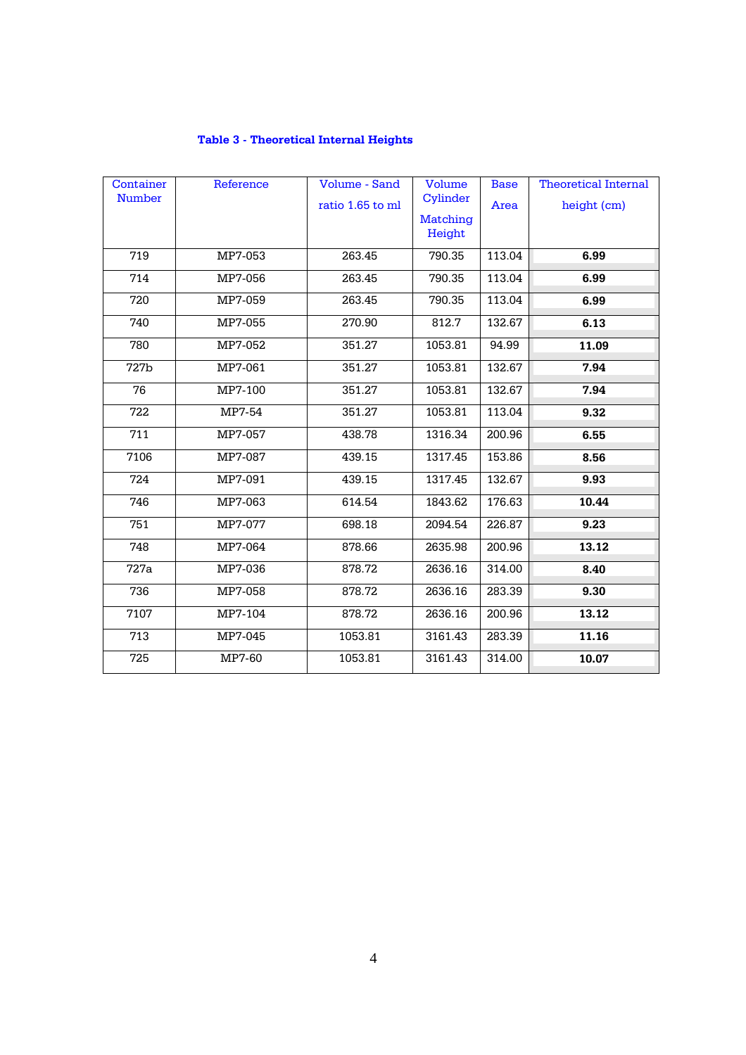|  | <b>Table 3 - Theoretical Internal Heights</b> |  |
|--|-----------------------------------------------|--|
|  |                                               |  |

| Container     | Reference | Volume - Sand    | Volume          | <b>Base</b> | <b>Theoretical Internal</b> |
|---------------|-----------|------------------|-----------------|-------------|-----------------------------|
| <b>Number</b> |           | ratio 1.65 to ml | Cylinder        | Area        | height (cm)                 |
|               |           |                  | <b>Matching</b> |             |                             |
|               |           |                  | Height          |             |                             |
| 719           | MP7-053   | 263.45           | 790.35          | 113.04      | 6.99                        |
| 714           | MP7-056   | 263.45           | 790.35          | 113.04      | 6.99                        |
| 720           | MP7-059   | 263.45           | 790.35          | 113.04      | 6.99                        |
| 740           | MP7-055   | 270.90           | 812.7           | 132.67      | 6.13                        |
| 780           | MP7-052   | 351.27           | 1053.81         | 94.99       | 11.09                       |
| 727b          | MP7-061   | 351.27           | 1053.81         | 132.67      | 7.94                        |
| 76            | MP7-100   | 351.27           | 1053.81         | 132.67      | 7.94                        |
| 722           | MP7-54    | 351.27           | 1053.81         | 113.04      | 9.32                        |
| 711           | MP7-057   | 438.78           | 1316.34         | 200.96      | 6.55                        |
| 7106          | MP7-087   | 439.15           | 1317.45         | 153.86      | 8.56                        |
| 724           | MP7-091   | 439.15           | 1317.45         | 132.67      | 9.93                        |
| 746           | MP7-063   | 614.54           | 1843.62         | 176.63      | 10.44                       |
| 751           | MP7-077   | 698.18           | 2094.54         | 226.87      | 9.23                        |
| 748           | MP7-064   | 878.66           | 2635.98         | 200.96      | 13.12                       |
| 727a          | MP7-036   | 878.72           | 2636.16         | 314.00      | 8.40                        |
| 736           | MP7-058   | 878.72           | 2636.16         | 283.39      | 9.30                        |
| 7107          | MP7-104   | 878.72           | 2636.16         | 200.96      | 13.12                       |
| 713           | MP7-045   | 1053.81          | 3161.43         | 283.39      | 11.16                       |
| 725           | MP7-60    | 1053.81          | 3161.43         | 314.00      | 10.07                       |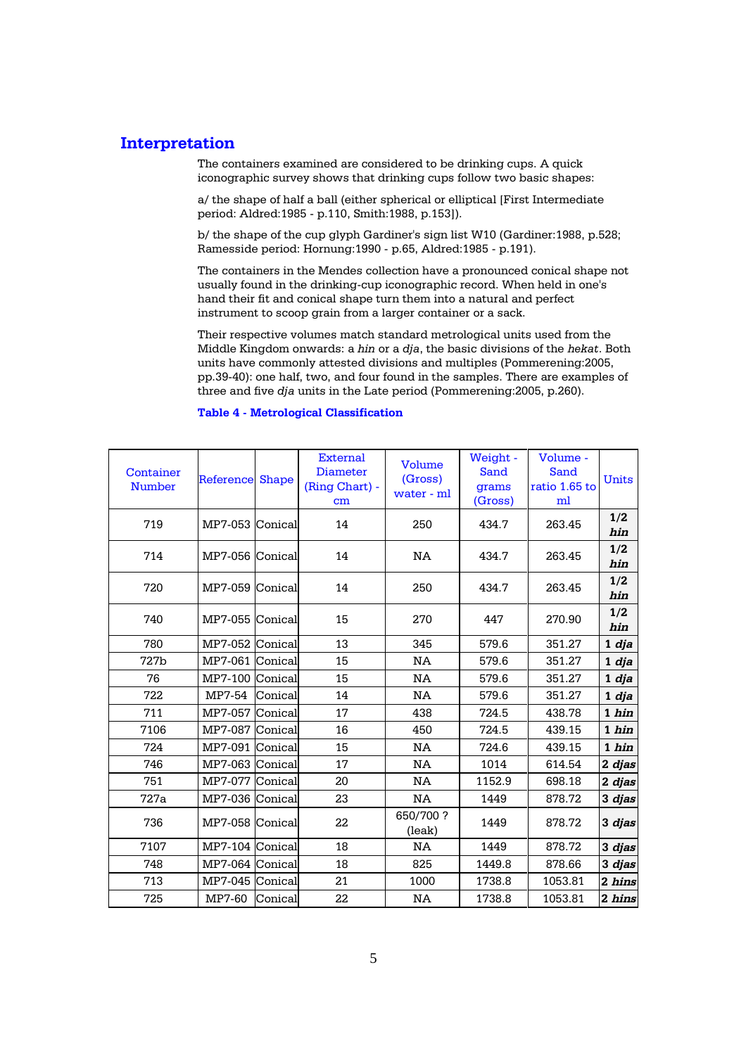# **Interpretation**

The containers examined are considered to be drinking cups. A quick iconographic survey shows that drinking cups follow two basic shapes:

a/ the shape of half a ball (either spherical or elliptical [First Intermediate period: Aldred:1985 - p.110, Smith:1988, p.153]).

b/ the shape of the cup glyph Gardiner's sign list W10 (Gardiner:1988, p.528; Ramesside period: Hornung:1990 - p.65, Aldred:1985 - p.191).

The containers in the Mendes collection have a pronounced conical shape not usually found in the drinking-cup iconographic record. When held in one's hand their fit and conical shape turn them into a natural and perfect instrument to scoop grain from a larger container or a sack.

Their respective volumes match standard metrological units used from the Middle Kingdom onwards: a *hin* or a *dja*, the basic divisions of the *hekat*. Both units have commonly attested divisions and multiples (Pommerening:2005, pp.39-40): one half, two, and four found in the samples. There are examples of three and five *dja* units in the Late period (Pommerening:2005, p.260).

#### **Table 4 - Metrological Classification**

| Container<br><b>Number</b> | <b>Reference Shape</b> |         | <b>External</b><br><b>Diameter</b><br>(Ring Chart) -<br>cm | Volume<br>(Gross)<br>water - ml | Weight -<br>Sand<br>grams<br>(Gross) | Volume -<br>Sand<br>ratio 1.65 to<br>ml | Units      |
|----------------------------|------------------------|---------|------------------------------------------------------------|---------------------------------|--------------------------------------|-----------------------------------------|------------|
| 719                        | MP7-053                | Conical | 14                                                         | 250                             | 434.7                                | 263.45                                  | 1/2<br>hin |
| 714                        | MP7-056 Conical        |         | 14                                                         | NA                              | 434.7                                | 263.45                                  | 1/2<br>hin |
| 720                        | MP7-059                | Conical | 14                                                         | 250                             | 434.7                                | 263.45                                  | 1/2<br>hin |
| 740                        | MP7-055 Conical        |         | 15                                                         | 270                             | 447                                  | 270.90                                  | 1/2<br>hin |
| 780                        | MP7-052                | Conical | 13                                                         | 345                             | 579.6                                | 351.27                                  | 1 dja      |
| 727b                       | MP7-061                | Conical | 15                                                         | NA                              | 579.6                                | 351.27                                  | 1 dja      |
| 76                         | MP7-100                | Conical | 15                                                         | NA                              | 579.6                                | 351.27                                  | 1 dja      |
| 722                        | MP7-54                 | Conical | 14                                                         | NA                              | 579.6                                | 351.27                                  | 1 dja      |
| 711                        | MP7-057                | Conical | 17                                                         | 438                             | 724.5                                | 438.78                                  | 1 hin      |
| 7106                       | MP7-087                | Conical | 16                                                         | 450                             | 724.5                                | 439.15                                  | 1 hin      |
| 724                        | MP7-091                | Conical | 15                                                         | NA                              | 724.6                                | 439.15                                  | 1 hin      |
| 746                        | MP7-063 Conical        |         | 17                                                         | NA                              | 1014                                 | 614.54                                  | 2 djas     |
| 751                        | MP7-077                | Conical | 20                                                         | NA                              | 1152.9                               | 698.18                                  | 2 djas     |
| 727a                       | MP7-036 Conical        |         | 23                                                         | NA.                             | 1449                                 | 878.72                                  | 3 djas     |
| 736                        | MP7-058 Conical        |         | 22                                                         | 650/700?<br>(leak)              | 1449                                 | 878.72                                  | 3 djas     |
| 7107                       | MP7-104 Conical        |         | 18                                                         | NA                              | 1449                                 | 878.72                                  | 3 djas     |
| 748                        | MP7-064 Conical        |         | 18                                                         | 825                             | 1449.8                               | 878.66                                  | 3 djas     |
| 713                        | MP7-045                | Conical | 21                                                         | 1000                            | 1738.8                               | 1053.81                                 | 2 hins     |
| 725                        | MP7-60                 | Conical | 22                                                         | NA                              | 1738.8                               | 1053.81                                 | 2 hins     |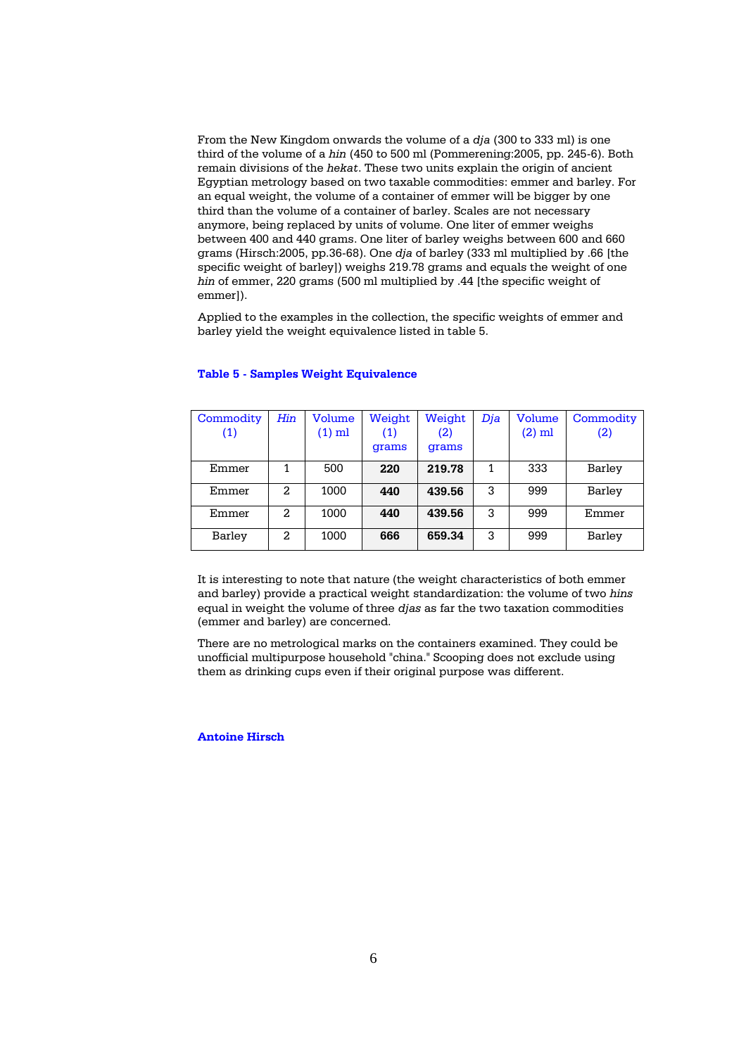From the New Kingdom onwards the volume of a *dja* (300 to 333 ml) is one third of the volume of a *hin* (450 to 500 ml (Pommerening:2005, pp. 245-6). Both remain divisions of the *hekat*. These two units explain the origin of ancient Egyptian metrology based on two taxable commodities: emmer and barley. For an equal weight, the volume of a container of emmer will be bigger by one third than the volume of a container of barley. Scales are not necessary anymore, being replaced by units of volume. One liter of emmer weighs between 400 and 440 grams. One liter of barley weighs between 600 and 660 grams (Hirsch:2005, pp.36-68). One *dja* of barley (333 ml multiplied by .66 [the specific weight of barley]) weighs 219.78 grams and equals the weight of one *hin* of emmer, 220 grams (500 ml multiplied by .44 [the specific weight of emmer]).

Applied to the examples in the collection, the specific weights of emmer and barley yield the weight equivalence listed in table 5.

| Commodity<br>(1) | Hin | Volume<br>$(1)$ ml | Weight<br>(1)<br>grams | Weight<br>(2)<br>grams | Dia | Volume<br>$(2)$ ml | Commodity<br>(2) |
|------------------|-----|--------------------|------------------------|------------------------|-----|--------------------|------------------|
| Emmer            | 1   | 500                | 220                    | 219.78                 | 1   | 333                | Barley           |
| Emmer            | 2   | 1000               | 440                    | 439.56                 | 3   | 999                | Barley           |
| Emmer            | 2   | 1000               | 440                    | 439.56                 | 3   | 999                | Emmer            |
| Barley           | 2   | 1000               | 666                    | 659.34                 | 3   | 999                | Barley           |

#### **Table 5 - Samples Weight Equivalence**

It is interesting to note that nature (the weight characteristics of both emmer and barley) provide a practical weight standardization: the volume of two *hins* equal in weight the volume of three *djas* as far the two taxation commodities (emmer and barley) are concerned.

There are no metrological marks on the containers examined. They could be unofficial multipurpose household "china." Scooping does not exclude using them as drinking cups even if their original purpose was different.

**Antoine Hirsch**